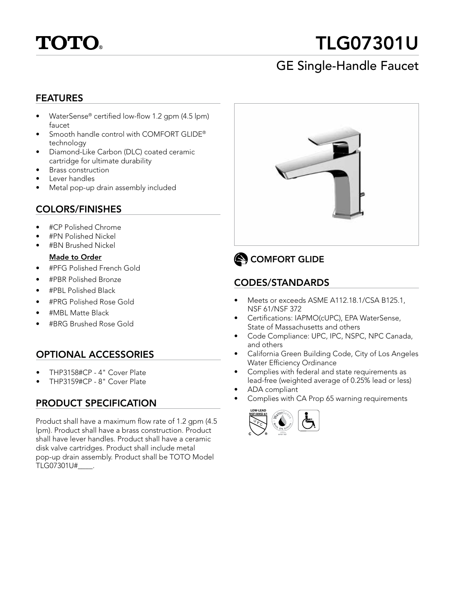

# TLG07301U

## GE Single-Handle Faucet

#### FEATURES

- WaterSense® certified low-flow 1.2 gpm (4.5 lpm) faucet
- Smooth handle control with COMFORT GLIDE® technology
- Diamond-Like Carbon (DLC) coated ceramic cartridge for ultimate durability
- Brass construction
- Lever handles
- Metal pop-up drain assembly included

#### COLORS/FINISHES

- #CP Polished Chrome
- #PN Polished Nickel
- #BN Brushed Nickel

#### Made to Order

- #PFG Polished French Gold
- #PBR Polished Bronze
- #PBL Polished Black
- #PRG Polished Rose Gold
- #MBL Matte Black
- #BRG Brushed Rose Gold

#### OPTIONAL ACCESSORIES

- THP3158#CP 4" Cover Plate
- THP3159#CP 8" Cover Plate

#### PRODUCT SPECIFICATION

Product shall have a maximum flow rate of 1.2 gpm (4.5 lpm). Product shall have a brass construction. Product shall have lever handles. Product shall have a ceramic disk valve cartridges. Product shall include metal pop-up drain assembly. Product shall be TOTO Model TLG07301U#\_\_\_\_.



## COMFORT GLIDE

#### CODES/STANDARDS

- Meets or exceeds ASME A112.18.1/CSA B125.1, NSF 61/NSF 372
- Certifications: IAPMO(cUPC), EPA WaterSense, State of Massachusetts and others
- Code Compliance: UPC, IPC, NSPC, NPC Canada, and others
- California Green Building Code, City of Los Angeles Water Efficiency Ordinance
- Complies with federal and state requirements as lead-free (weighted average of 0.25% lead or less)
- ADA compliant
- Complies with CA Prop 65 warning requirements